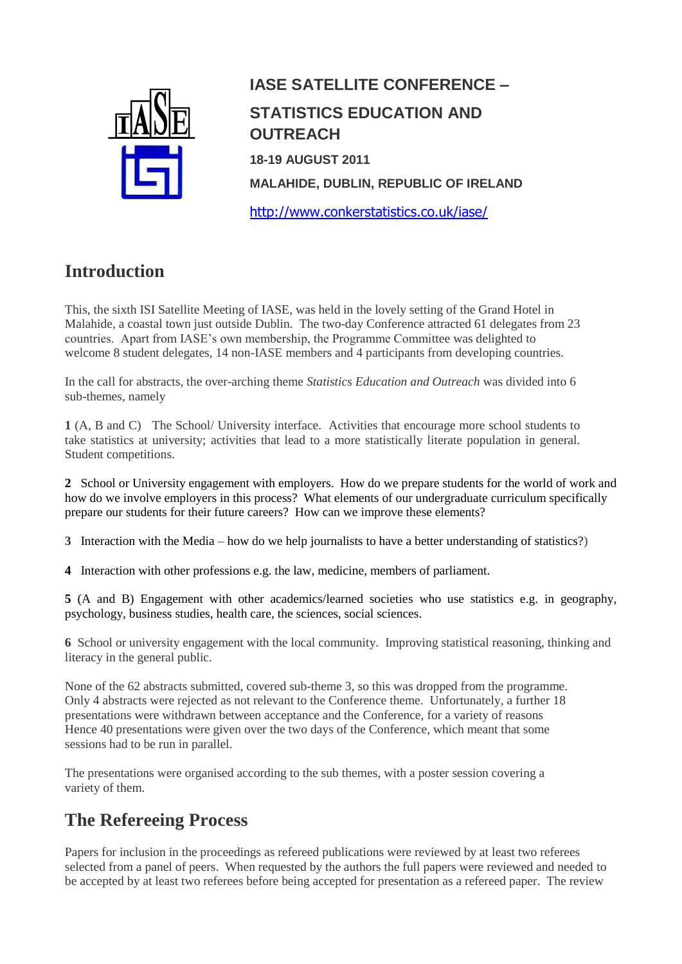

# **IASE SATELLITE CONFERENCE – STATISTICS EDUCATION AND OUTREACH 18-19 AUGUST 2011 MALAHIDE, DUBLIN, REPUBLIC OF IRELAND**

<http://www.conkerstatistics.co.uk/iase/>

## **Introduction**

This, the sixth ISI Satellite Meeting of IASE, was held in the lovely setting of the Grand Hotel in Malahide, a coastal town just outside Dublin. The two-day Conference attracted 61 delegates from 23 countries. Apart from IASE's own membership, the Programme Committee was delighted to welcome 8 student delegates, 14 non-IASE members and 4 participants from developing countries.

In the call for abstracts, the over-arching theme *Statistics Education and Outreach* was divided into 6 sub-themes, namely

**1** (A, B and C) The School/ University interface. Activities that encourage more school students to take statistics at university; activities that lead to a more statistically literate population in general. Student competitions.

**2** School or University engagement with employers. How do we prepare students for the world of work and how do we involve employers in this process? What elements of our undergraduate curriculum specifically prepare our students for their future careers? How can we improve these elements?

**3** Interaction with the Media – how do we help journalists to have a better understanding of statistics?)

**4** Interaction with other professions e.g. the law, medicine, members of parliament.

**5** (A and B) Engagement with other academics/learned societies who use statistics e.g. in geography, psychology, business studies, health care, the sciences, social sciences.

**6** School or university engagement with the local community. Improving statistical reasoning, thinking and literacy in the general public.

None of the 62 abstracts submitted, covered sub-theme 3, so this was dropped from the programme. Only 4 abstracts were rejected as not relevant to the Conference theme. Unfortunately, a further 18 presentations were withdrawn between acceptance and the Conference, for a variety of reasons Hence 40 presentations were given over the two days of the Conference, which meant that some sessions had to be run in parallel.

The presentations were organised according to the sub themes, with a poster session covering a variety of them.

## **The Refereeing Process**

Papers for inclusion in the proceedings as refereed publications were reviewed by at least two referees selected from a panel of peers. When requested by the authors the full papers were reviewed and needed to be accepted by at least two referees before being accepted for presentation as a refereed paper. The review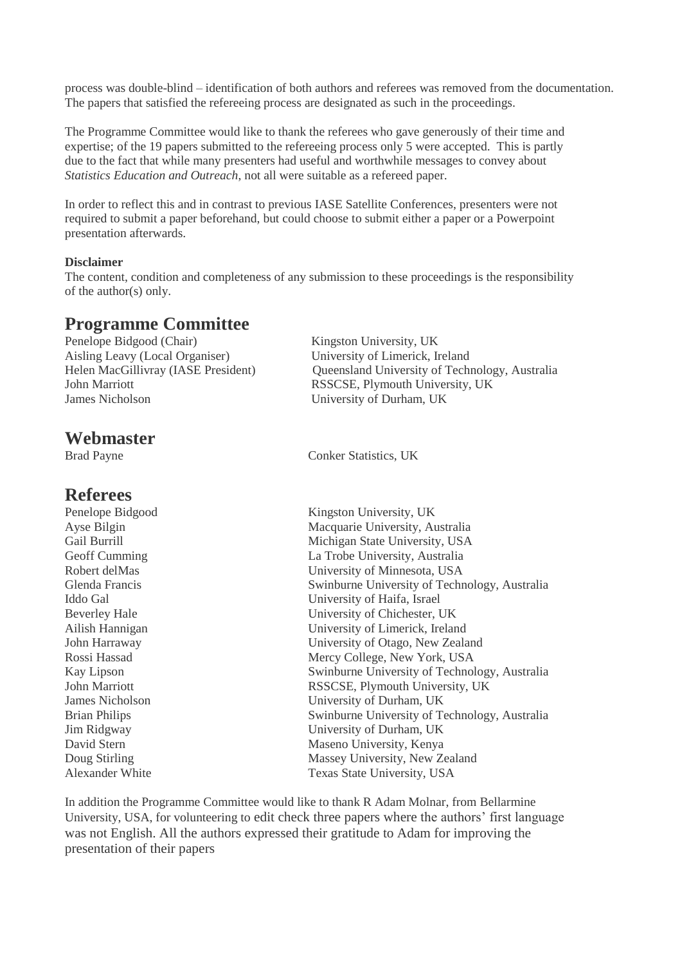process was double-blind – identification of both authors and referees was removed from the documentation. The papers that satisfied the refereeing process are designated as such in the proceedings.

The Programme Committee would like to thank the referees who gave generously of their time and expertise; of the 19 papers submitted to the refereeing process only 5 were accepted. This is partly due to the fact that while many presenters had useful and worthwhile messages to convey about *Statistics Education and Outreach*, not all were suitable as a refereed paper.

In order to reflect this and in contrast to previous IASE Satellite Conferences, presenters were not required to submit a paper beforehand, but could choose to submit either a paper or a Powerpoint presentation afterwards.

#### **Disclaimer**

The content, condition and completeness of any submission to these proceedings is the responsibility of the author(s) only.

### **Programme Committee**

Penelope Bidgood (Chair) Kingston University, UK Aisling Leavy (Local Organiser) University of Limerick, Ireland John Marriott RSSCSE, Plymouth University, UK James Nicholson University of Durham, UK

**Webmaster**

### **Referees**

Helen MacGillivray (IASE President) Queensland University of Technology, Australia

Brad Payne Conker Statistics, UK

Penelope Bidgood Kingston University, UK Ayse Bilgin Macquarie University, Australia Gail Burrill **Michigan State University, USA** Geoff Cumming La Trobe University, Australia Robert delMas University of Minnesota, USA Glenda Francis Swinburne University of Technology, Australia Iddo Gal University of Haifa, Israel Beverley Hale University of Chichester, UK Ailish Hannigan University of Limerick, Ireland John Harraway University of Otago, New Zealand Rossi Hassad Mercy College, New York, USA Kay Lipson Swinburne University of Technology, Australia John Marriott RSSCSE, Plymouth University, UK James Nicholson University of Durham, UK Brian Philips Swinburne University of Technology, Australia Jim Ridgway University of Durham, UK David Stern Maseno University, Kenya Doug Stirling Massey University, New Zealand Alexander White Texas State University, USA

In addition the Programme Committee would like to thank R Adam Molnar, from Bellarmine University, USA, for volunteering to edit check three papers where the authors' first language was not English. All the authors expressed their gratitude to Adam for improving the presentation of their papers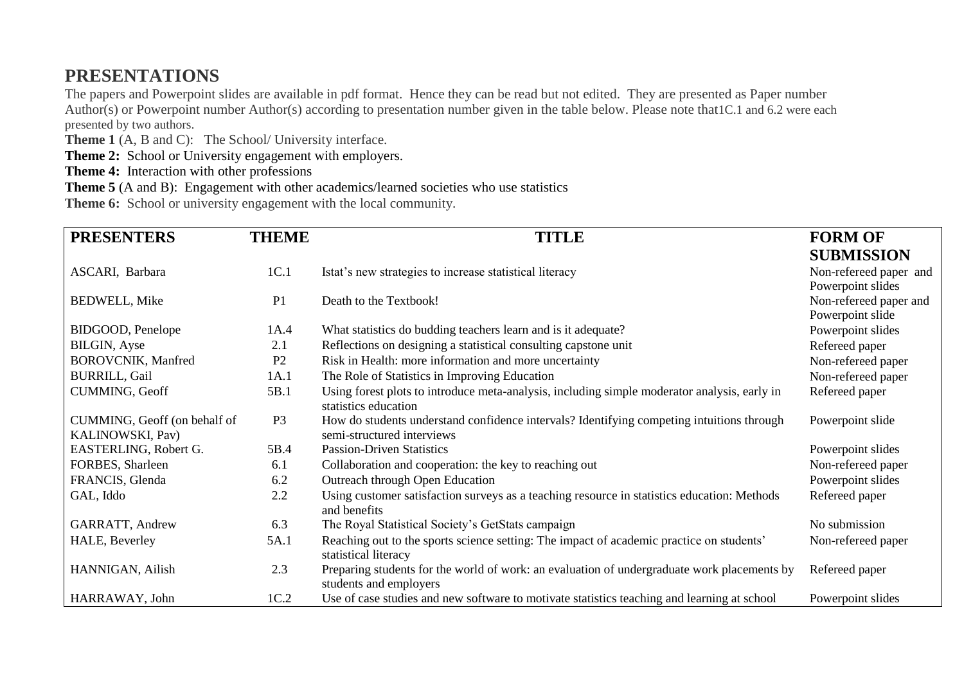## **PRESENTATIONS**

The papers and Powerpoint slides are available in pdf format. Hence they can be read but not edited. They are presented as Paper number Author(s) or Powerpoint number Author(s) according to presentation number given in the table below. Please note that1C.1 and 6.2 were each presented by two authors.

**Theme 1** (A, B and C): The School/ University interface.

**Theme 2:** School or University engagement with employers.

**Theme 4:** Interaction with other professions

**Theme 5** (A and B): Engagement with other academics/learned societies who use statistics

**Theme 6:** School or university engagement with the local community.

| <b>PRESENTERS</b>                                | <b>THEME</b>   | <b>TITLE</b>                                                                                                            | <b>FORM OF</b>                        |
|--------------------------------------------------|----------------|-------------------------------------------------------------------------------------------------------------------------|---------------------------------------|
|                                                  |                |                                                                                                                         | <b>SUBMISSION</b>                     |
| ASCARI, Barbara                                  | 1C.1           | Istat's new strategies to increase statistical literacy                                                                 | Non-refereed paper and                |
|                                                  |                |                                                                                                                         | Powerpoint slides                     |
| <b>BEDWELL, Mike</b>                             | P <sub>1</sub> | Death to the Textbook!                                                                                                  | Non-refereed paper and                |
| BIDGOOD, Penelope                                | 1A.4           | What statistics do budding teachers learn and is it adequate?                                                           | Powerpoint slide<br>Powerpoint slides |
| <b>BILGIN, Ayse</b>                              | 2.1            | Reflections on designing a statistical consulting capstone unit                                                         | Refereed paper                        |
| <b>BOROVCNIK, Manfred</b>                        | P <sub>2</sub> | Risk in Health: more information and more uncertainty                                                                   | Non-refereed paper                    |
| <b>BURRILL, Gail</b>                             | 1A.1           | The Role of Statistics in Improving Education                                                                           | Non-refereed paper                    |
| CUMMING, Geoff                                   | 5B.1           | Using forest plots to introduce meta-analysis, including simple moderator analysis, early in<br>statistics education    | Refereed paper                        |
| CUMMING, Geoff (on behalf of<br>KALINOWSKI, Pav) | P <sub>3</sub> | How do students understand confidence intervals? Identifying competing intuitions through<br>semi-structured interviews | Powerpoint slide                      |
| EASTERLING, Robert G.                            | 5B.4           | <b>Passion-Driven Statistics</b>                                                                                        | Powerpoint slides                     |
| FORBES, Sharleen                                 | 6.1            | Collaboration and cooperation: the key to reaching out                                                                  | Non-refereed paper                    |
| FRANCIS, Glenda                                  | 6.2            | Outreach through Open Education                                                                                         | Powerpoint slides                     |
| GAL, Iddo                                        | 2.2            | Using customer satisfaction surveys as a teaching resource in statistics education: Methods<br>and benefits             | Refereed paper                        |
| GARRATT, Andrew                                  | 6.3            | The Royal Statistical Society's GetStats campaign                                                                       | No submission                         |
| HALE, Beverley                                   | 5A.1           | Reaching out to the sports science setting: The impact of academic practice on students'<br>statistical literacy        | Non-refereed paper                    |
| HANNIGAN, Ailish                                 | 2.3            | Preparing students for the world of work: an evaluation of undergraduate work placements by<br>students and employers   | Refereed paper                        |
| HARRAWAY, John                                   | 1C.2           | Use of case studies and new software to motivate statistics teaching and learning at school                             | Powerpoint slides                     |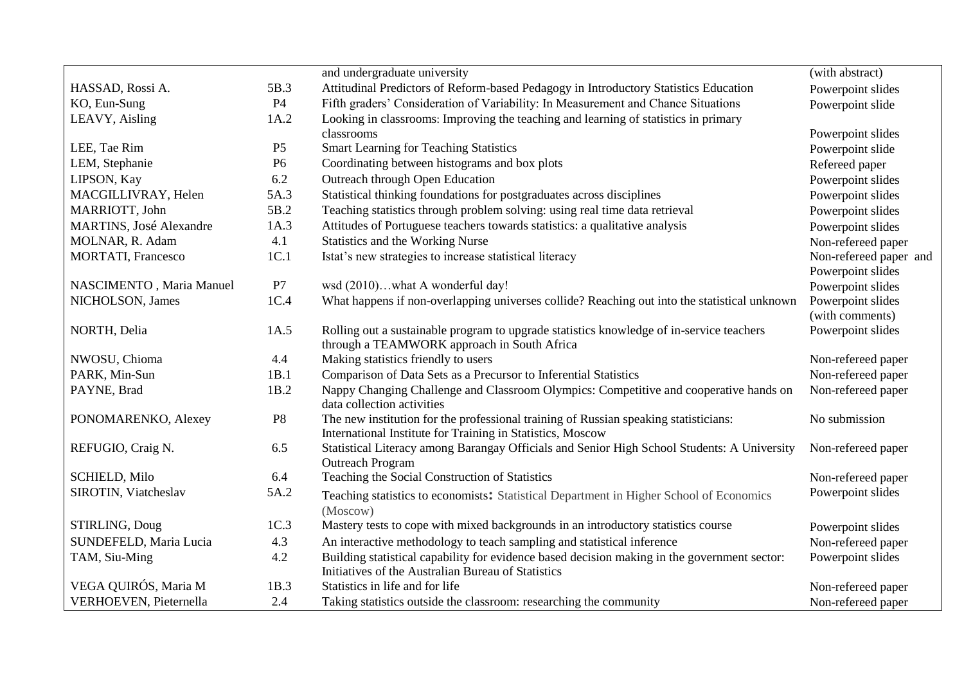|                                |                | and undergraduate university                                                                                           | (with abstract)        |
|--------------------------------|----------------|------------------------------------------------------------------------------------------------------------------------|------------------------|
| HASSAD, Rossi A.               | 5B.3           | Attitudinal Predictors of Reform-based Pedagogy in Introductory Statistics Education                                   | Powerpoint slides      |
| KO, Eun-Sung                   | <b>P4</b>      | Fifth graders' Consideration of Variability: In Measurement and Chance Situations                                      | Powerpoint slide       |
| LEAVY, Aisling                 | 1A.2           | Looking in classrooms: Improving the teaching and learning of statistics in primary                                    |                        |
|                                |                | classrooms                                                                                                             | Powerpoint slides      |
| LEE, Tae Rim                   | P <sub>5</sub> | <b>Smart Learning for Teaching Statistics</b>                                                                          | Powerpoint slide       |
| LEM, Stephanie                 | P <sub>6</sub> | Coordinating between histograms and box plots                                                                          | Refereed paper         |
| LIPSON, Kay                    | 6.2            | Outreach through Open Education                                                                                        | Powerpoint slides      |
| MACGILLIVRAY, Helen            | 5A.3           | Statistical thinking foundations for postgraduates across disciplines                                                  | Powerpoint slides      |
| MARRIOTT, John                 | 5B.2           | Teaching statistics through problem solving: using real time data retrieval                                            | Powerpoint slides      |
| <b>MARTINS, José Alexandre</b> | 1A.3           | Attitudes of Portuguese teachers towards statistics: a qualitative analysis                                            | Powerpoint slides      |
| MOLNAR, R. Adam                | 4.1            | Statistics and the Working Nurse                                                                                       | Non-refereed paper     |
| <b>MORTATI, Francesco</b>      | 1C.1           | Istat's new strategies to increase statistical literacy                                                                | Non-refereed paper and |
|                                |                |                                                                                                                        | Powerpoint slides      |
| NASCIMENTO, Maria Manuel       | P7             | wsd (2010)what A wonderful day!                                                                                        | Powerpoint slides      |
| NICHOLSON, James               | 1C.4           | What happens if non-overlapping universes collide? Reaching out into the statistical unknown                           | Powerpoint slides      |
|                                |                |                                                                                                                        | (with comments)        |
| NORTH, Delia                   | 1A.5           | Rolling out a sustainable program to upgrade statistics knowledge of in-service teachers                               | Powerpoint slides      |
|                                |                | through a TEAMWORK approach in South Africa                                                                            |                        |
| NWOSU, Chioma                  | 4.4            | Making statistics friendly to users                                                                                    | Non-refereed paper     |
| PARK, Min-Sun                  | 1B.1           | Comparison of Data Sets as a Precursor to Inferential Statistics                                                       | Non-refereed paper     |
| PAYNE, Brad                    | 1B.2           | Nappy Changing Challenge and Classroom Olympics: Competitive and cooperative hands on<br>data collection activities    | Non-refereed paper     |
| PONOMARENKO, Alexey            | P <sub>8</sub> | The new institution for the professional training of Russian speaking statisticians:                                   | No submission          |
|                                |                | International Institute for Training in Statistics, Moscow                                                             |                        |
| REFUGIO, Craig N.              | 6.5            | Statistical Literacy among Barangay Officials and Senior High School Students: A University<br><b>Outreach Program</b> | Non-refereed paper     |
| <b>SCHIELD, Milo</b>           | 6.4            | Teaching the Social Construction of Statistics                                                                         | Non-refereed paper     |
| SIROTIN, Viatcheslav           | 5A.2           |                                                                                                                        | Powerpoint slides      |
|                                |                | Teaching statistics to economists: Statistical Department in Higher School of Economics<br>(Moscow)                    |                        |
| STIRLING, Doug                 | 1C.3           | Mastery tests to cope with mixed backgrounds in an introductory statistics course                                      | Powerpoint slides      |
| SUNDEFELD, Maria Lucia         | 4.3            | An interactive methodology to teach sampling and statistical inference                                                 | Non-refereed paper     |
| TAM, Siu-Ming                  | 4.2            | Building statistical capability for evidence based decision making in the government sector:                           | Powerpoint slides      |
|                                |                | Initiatives of the Australian Bureau of Statistics                                                                     |                        |
| VEGA QUIRÓS, Maria M           | 1B.3           | Statistics in life and for life                                                                                        | Non-refereed paper     |
| VERHOEVEN, Pieternella         | 2.4            | Taking statistics outside the classroom: researching the community                                                     | Non-refereed paper     |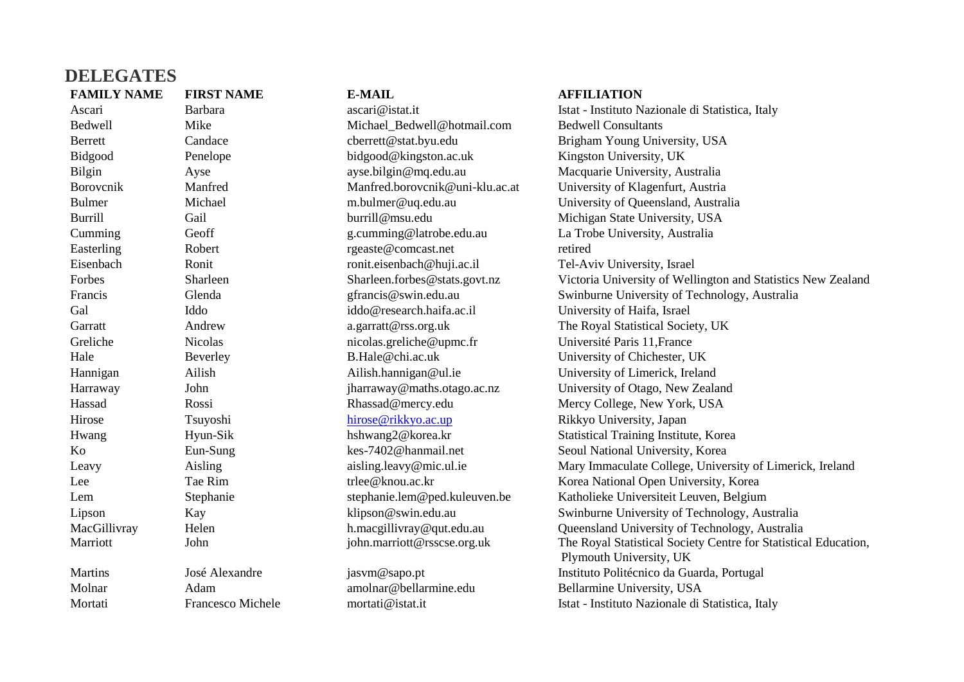| <b>DELEGATES</b>   |                          |                                 |                                                                                            |
|--------------------|--------------------------|---------------------------------|--------------------------------------------------------------------------------------------|
| <b>FAMILY NAME</b> | <b>FIRST NAME</b>        | <b>E-MAIL</b>                   | <b>AFFILIATION</b>                                                                         |
| Ascari             | <b>Barbara</b>           | ascari@istat.it                 | Istat - Instituto Nazionale di Statistica, Italy                                           |
| Bedwell            | Mike                     | Michael_Bedwell@hotmail.com     | <b>Bedwell Consultants</b>                                                                 |
| <b>Berrett</b>     | Candace                  | cberrett@stat.byu.edu           | Brigham Young University, USA                                                              |
| Bidgood            | Penelope                 | bidgood@kingston.ac.uk          | Kingston University, UK                                                                    |
| <b>Bilgin</b>      | Ayse                     | ayse.bilgin@mq.edu.au           | Macquarie University, Australia                                                            |
| Borovenik          | Manfred                  | Manfred.borovcnik@uni-klu.ac.at | University of Klagenfurt, Austria                                                          |
| <b>Bulmer</b>      | Michael                  | m.bulmer@uq.edu.au              | University of Queensland, Australia                                                        |
| <b>Burrill</b>     | Gail                     | burrill@msu.edu                 | Michigan State University, USA                                                             |
| Cumming            | Geoff                    | g.cumming@latrobe.edu.au        | La Trobe University, Australia                                                             |
| Easterling         | Robert                   | rgeaste@comcast.net             | retired                                                                                    |
| Eisenbach          | Ronit                    | ronit.eisenbach@huji.ac.il      | Tel-Aviv University, Israel                                                                |
| Forbes             | Sharleen                 | Sharleen.forbes@stats.govt.nz   | Victoria University of Wellington and Statistics New Zealand                               |
| Francis            | Glenda                   | gfrancis@swin.edu.au            | Swinburne University of Technology, Australia                                              |
| Gal                | Iddo                     | iddo@research.haifa.ac.il       | University of Haifa, Israel                                                                |
| Garratt            | Andrew                   | a.garratt@rss.org.uk            | The Royal Statistical Society, UK                                                          |
| Greliche           | <b>Nicolas</b>           | nicolas.greliche@upmc.fr        | Université Paris 11, France                                                                |
| Hale               | Beverley                 | B.Hale@chi.ac.uk                | University of Chichester, UK                                                               |
| Hannigan           | Ailish                   | Ailish.hannigan@ul.ie           | University of Limerick, Ireland                                                            |
| Harraway           | John                     | jharraway@maths.otago.ac.nz     | University of Otago, New Zealand                                                           |
| Hassad             | Rossi                    | Rhassad@mercy.edu               | Mercy College, New York, USA                                                               |
| Hirose             | Tsuyoshi                 | hirose@rikkyo.ac.up             | Rikkyo University, Japan                                                                   |
| Hwang              | Hyun-Sik                 | hshwang2@korea.kr               | Statistical Training Institute, Korea                                                      |
| Ko                 | Eun-Sung                 | kes-7402@hanmail.net            | Seoul National University, Korea                                                           |
| Leavy              | Aisling                  | aisling.leavy@mic.ul.ie         | Mary Immaculate College, University of Limerick, Ireland                                   |
| Lee                | Tae Rim                  | trlee@knou.ac.kr                | Korea National Open University, Korea                                                      |
| Lem                | Stephanie                | stephanie.lem@ped.kuleuven.be   | Katholieke Universiteit Leuven, Belgium                                                    |
| Lipson             | Kay                      | klipson@swin.edu.au             | Swinburne University of Technology, Australia                                              |
| MacGillivray       | Helen                    | h.macgillivray@qut.edu.au       | Queensland University of Technology, Australia                                             |
| Marriott           | John                     | john.marriott@rsscse.org.uk     | The Royal Statistical Society Centre for Statistical Education,<br>Plymouth University, UK |
| <b>Martins</b>     | José Alexandre           | jasvm@sapo.pt                   | Instituto Politécnico da Guarda, Portugal                                                  |
| Molnar             | Adam                     | amolnar@bellarmine.edu          | Bellarmine University, USA                                                                 |
| Mortati            | <b>Francesco Michele</b> | mortati@istat.it                | Istat - Instituto Nazionale di Statistica, Italy                                           |